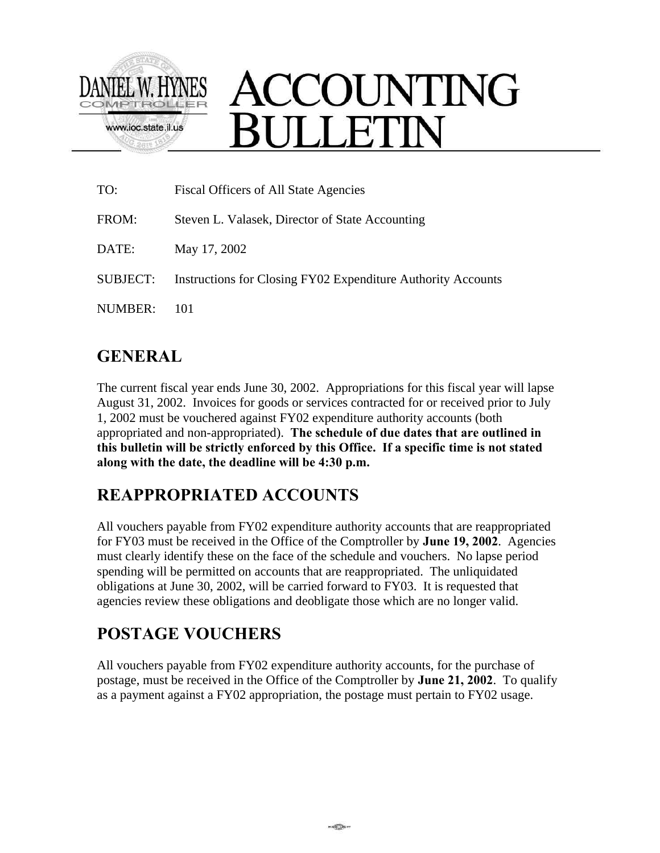

# ACCOUNTING **ULLETIN**

| TO:      | Fiscal Officers of All State Agencies                        |
|----------|--------------------------------------------------------------|
| FROM:    | Steven L. Valasek, Director of State Accounting              |
| DATE:    | May 17, 2002                                                 |
| SUBJECT: | Instructions for Closing FY02 Expenditure Authority Accounts |
| NUMBER:  | 101                                                          |

#### **GENERAL**

The current fiscal year ends June 30, 2002. Appropriations for this fiscal year will lapse August 31, 2002. Invoices for goods or services contracted for or received prior to July 1, 2002 must be vouchered against FY02 expenditure authority accounts (both appropriated and non-appropriated). **The schedule of due dates that are outlined in this bulletin will be strictly enforced by this Office. If a specific time is not stated along with the date, the deadline will be 4:30 p.m.**

#### **REAPPROPRIATED ACCOUNTS**

All vouchers payable from FY02 expenditure authority accounts that are reappropriated for FY03 must be received in the Office of the Comptroller by **June 19, 2002**. Agencies must clearly identify these on the face of the schedule and vouchers. No lapse period spending will be permitted on accounts that are reappropriated. The unliquidated obligations at June 30, 2002, will be carried forward to FY03. It is requested that agencies review these obligations and deobligate those which are no longer valid.

#### **POSTAGE VOUCHERS**

All vouchers payable from FY02 expenditure authority accounts, for the purchase of postage, must be received in the Office of the Comptroller by **June 21, 2002**. To qualify as a payment against a FY02 appropriation, the postage must pertain to FY02 usage.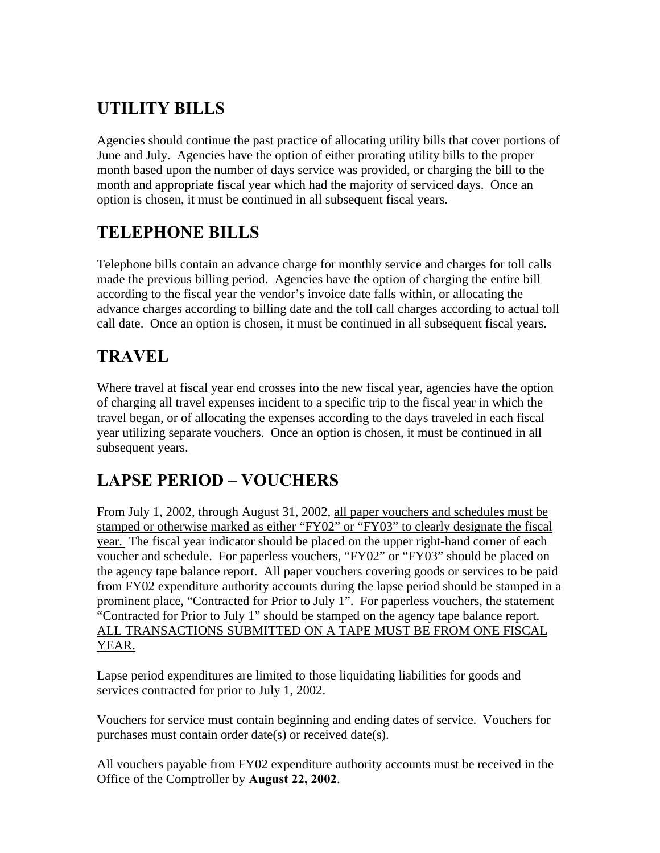### **UTILITY BILLS**

Agencies should continue the past practice of allocating utility bills that cover portions of June and July. Agencies have the option of either prorating utility bills to the proper month based upon the number of days service was provided, or charging the bill to the month and appropriate fiscal year which had the majority of serviced days. Once an option is chosen, it must be continued in all subsequent fiscal years.

#### **TELEPHONE BILLS**

Telephone bills contain an advance charge for monthly service and charges for toll calls made the previous billing period. Agencies have the option of charging the entire bill according to the fiscal year the vendor's invoice date falls within, or allocating the advance charges according to billing date and the toll call charges according to actual toll call date. Once an option is chosen, it must be continued in all subsequent fiscal years.

# **TRAVEL**

Where travel at fiscal year end crosses into the new fiscal year, agencies have the option of charging all travel expenses incident to a specific trip to the fiscal year in which the travel began, or of allocating the expenses according to the days traveled in each fiscal year utilizing separate vouchers. Once an option is chosen, it must be continued in all subsequent years.

## **LAPSE PERIOD – VOUCHERS**

From July 1, 2002, through August 31, 2002, all paper vouchers and schedules must be stamped or otherwise marked as either "FY02" or "FY03" to clearly designate the fiscal year. The fiscal year indicator should be placed on the upper right-hand corner of each voucher and schedule. For paperless vouchers, "FY02" or "FY03" should be placed on the agency tape balance report. All paper vouchers covering goods or services to be paid from FY02 expenditure authority accounts during the lapse period should be stamped in a prominent place, "Contracted for Prior to July 1". For paperless vouchers, the statement "Contracted for Prior to July 1" should be stamped on the agency tape balance report. ALL TRANSACTIONS SUBMITTED ON A TAPE MUST BE FROM ONE FISCAL YEAR.

Lapse period expenditures are limited to those liquidating liabilities for goods and services contracted for prior to July 1, 2002.

Vouchers for service must contain beginning and ending dates of service. Vouchers for purchases must contain order date(s) or received date(s).

All vouchers payable from FY02 expenditure authority accounts must be received in the Office of the Comptroller by **August 22, 2002**.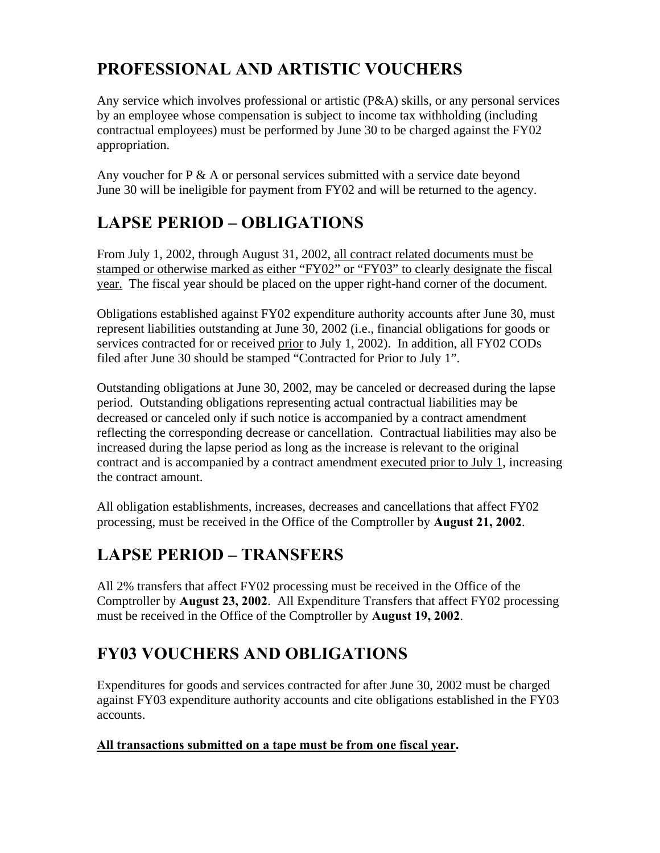### **PROFESSIONAL AND ARTISTIC VOUCHERS**

Any service which involves professional or artistic (P&A) skills, or any personal services by an employee whose compensation is subject to income tax withholding (including contractual employees) must be performed by June 30 to be charged against the FY02 appropriation.

Any voucher for  $P \& A$  or personal services submitted with a service date beyond June 30 will be ineligible for payment from FY02 and will be returned to the agency.

### **LAPSE PERIOD – OBLIGATIONS**

From July 1, 2002, through August 31, 2002, all contract related documents must be stamped or otherwise marked as either "FY02" or "FY03" to clearly designate the fiscal year. The fiscal year should be placed on the upper right-hand corner of the document.

Obligations established against FY02 expenditure authority accounts after June 30, must represent liabilities outstanding at June 30, 2002 (i.e., financial obligations for goods or services contracted for or received prior to July 1, 2002). In addition, all FY02 CODs filed after June 30 should be stamped "Contracted for Prior to July 1".

Outstanding obligations at June 30, 2002, may be canceled or decreased during the lapse period. Outstanding obligations representing actual contractual liabilities may be decreased or canceled only if such notice is accompanied by a contract amendment reflecting the corresponding decrease or cancellation. Contractual liabilities may also be increased during the lapse period as long as the increase is relevant to the original contract and is accompanied by a contract amendment executed prior to July 1, increasing the contract amount.

All obligation establishments, increases, decreases and cancellations that affect FY02 processing, must be received in the Office of the Comptroller by **August 21, 2002**.

#### **LAPSE PERIOD – TRANSFERS**

All 2% transfers that affect FY02 processing must be received in the Office of the Comptroller by **August 23, 2002**. All Expenditure Transfers that affect FY02 processing must be received in the Office of the Comptroller by **August 19, 2002**.

# **FY03 VOUCHERS AND OBLIGATIONS**

Expenditures for goods and services contracted for after June 30, 2002 must be charged against FY03 expenditure authority accounts and cite obligations established in the FY03 accounts.

#### **All transactions submitted on a tape must be from one fiscal year.**